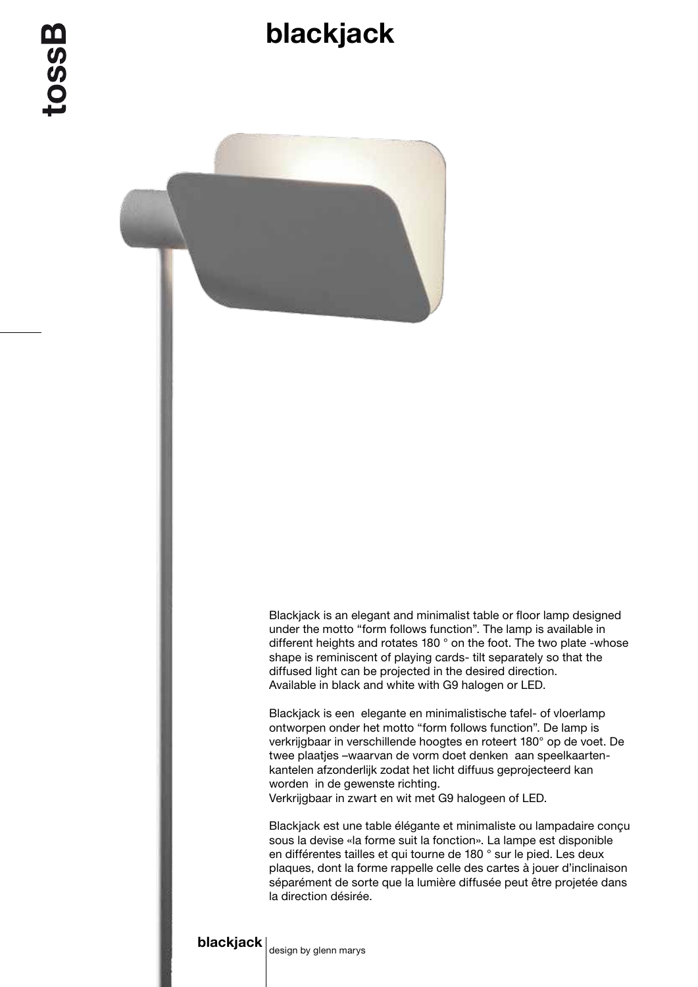## blackjack



Blackjack is an elegant and minimalist table or floor lamp designed under the motto "form follows function". The lamp is available in different heights and rotates 180 ° on the foot. The two plate -whose shape is reminiscent of playing cards- tilt separately so that the diffused light can be projected in the desired direction. Available in black and white with G9 halogen or LED.

Blackjack is een elegante en minimalistische tafel- of vloerlamp ontworpen onder het motto "form follows function". De lamp is verkrijgbaar in verschillende hoogtes en roteert 180° op de voet. De twee plaatjes –waarvan de vorm doet denken aan speelkaartenkantelen afzonderlijk zodat het licht diffuus geprojecteerd kan worden in de gewenste richting. Verkrijgbaar in zwart en wit met G9 halogeen of LED.

Blackjack est une table élégante et minimaliste ou lampadaire conçu sous la devise «la forme suit la fonction». La lampe est disponible en différentes tailles et qui tourne de 180 ° sur le pied. Les deux plaques, dont la forme rappelle celle des cartes à jouer d'inclinaison séparément de sorte que la lumière diffusée peut être projetée dans la direction désirée.

## **blackjack**  $\vert$  design by glenn marys